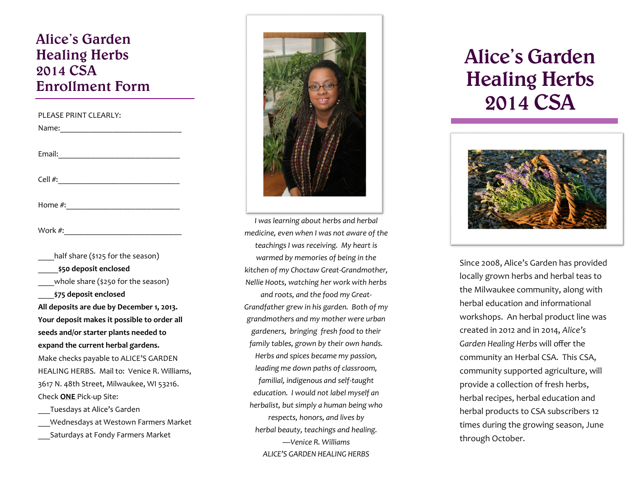### **Alice's Garden Healing Herbs 2014 CSA Enrollment Form**

| PLEASE PRINT CLEARLY:                       |
|---------------------------------------------|
|                                             |
|                                             |
|                                             |
|                                             |
|                                             |
|                                             |
|                                             |
|                                             |
|                                             |
| ___half share (\$125 for the season)        |
| _______\$50 deposit enclosed                |
| ____whole share (\$250 for the season)      |
| ____\$75 deposit enclosed                   |
| All deposits are due by December 1, 2013.   |
| Your deposit makes it possible to order all |
| seeds and/or starter plants needed to       |
| expand the current herbal gardens.          |
| Make checks payable to ALICE'S GARDEN       |
| HEALING HERBS. Mail to: Venice R. Williams, |
| 3617 N. 48th Street, Milwaukee, WI 53216.   |
| Check ONE Pick-up Site:                     |
| ___Tuesdays at Alice's Garden               |
| Wednesdays at Westown Farmers Market        |

\_\_\_Saturdays at Fondy Farmers Market



*I was learning about herbs and herbal medicine, even when I was not aware of the teachings I was receiving. My heart is warmed by memories of being in the kitchen of my Choctaw Great-Grandmother, Nellie Hoots, watching her work with herbs and roots, and the food my Great-Grandfather grew in his garden. Both of my grandmothers and my mother were urban gardeners, bringing fresh food to their family tables, grown by their own hands. Herbs and spices became my passion, leading me down paths of classroom, familial, indigenous and self-taught education. I would not label myself an herbalist, but simply a human being who respects, honors, and lives by herbal beauty, teachings and healing. —Venice R. Williams ALICE'S GARDEN HEALING HERBS*

# **Alice's Garden Healing Herbs 2014 CSA**

l



Since 2008, Alice's Garden has provided locally grown herbs and herbal teas to the Milwaukee community, along with herbal education and informational workshops. An herbal product line was created in 2012 and in 2014, *Alice's Garden Healing Herbs* will offer the community an Herbal CSA. This CSA, community supported agriculture, will provide a collection of fresh herbs, herbal recipes, herbal education and herbal products to CSA subscribers 12 times during the growing season, June through October.